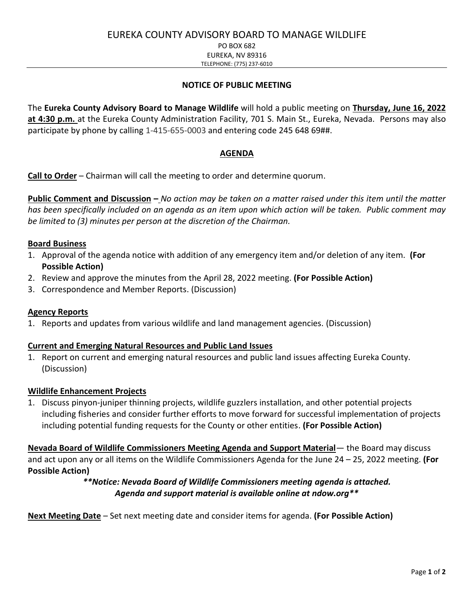PO BOX 682 EUREKA, NV 89316

TELEPHONE: (775) 237-6010

## **NOTICE OF PUBLIC MEETING**

The **Eureka County Advisory Board to Manage Wildlife** will hold a public meeting on **Thursday, June 16, 2022 at 4:30 p.m.** at the Eureka County Administration Facility, 701 S. Main St., Eureka, Nevada. Persons may also participate by phone by calling 1-415-655-0003 and entering code 245 648 69##.

## **AGENDA**

**Call to Order** – Chairman will call the meeting to order and determine quorum.

**Public Comment and Discussion –** *No action may be taken on a matter raised under this item until the matter has been specifically included on an agenda as an item upon which action will be taken. Public comment may be limited to (3) minutes per person at the discretion of the Chairman.*

#### **Board Business**

- 1. Approval of the agenda notice with addition of any emergency item and/or deletion of any item. **(For Possible Action)**
- 2. Review and approve the minutes from the April 28, 2022 meeting. **(For Possible Action)**
- 3. Correspondence and Member Reports. (Discussion)

## **Agency Reports**

1. Reports and updates from various wildlife and land management agencies. (Discussion)

## **Current and Emerging Natural Resources and Public Land Issues**

1. Report on current and emerging natural resources and public land issues affecting Eureka County. (Discussion)

#### **Wildlife Enhancement Projects**

1. Discuss pinyon-juniper thinning projects, wildlife guzzlers installation, and other potential projects including fisheries and consider further efforts to move forward for successful implementation of projects including potential funding requests for the County or other entities. **(For Possible Action)**

**Nevada Board of Wildlife Commissioners Meeting Agenda and Support Material**— the Board may discuss and act upon any or all items on the Wildlife Commissioners Agenda for the June 24 – 25, 2022 meeting. **(For Possible Action)**

## *\*\*Notice: Nevada Board of Wildlife Commissioners meeting agenda is attached. Agenda and support material is available online at ndow.org\*\**

**Next Meeting Date** – Set next meeting date and consider items for agenda. **(For Possible Action)**